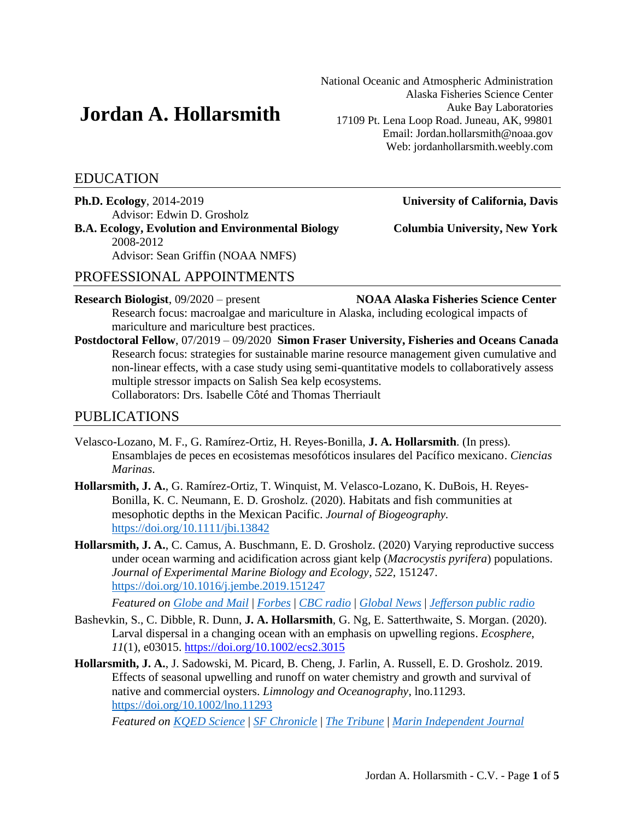# **Jordan A. Hollarsmith**

EDUCATION

**Ph.D. Ecology**, 2014-2019 **University of California, Davis** Advisor: Edwin D. Grosholz **B.A. Ecology, Evolution and Environmental Biology Columbia University, New York** 2008-2012

Advisor: Sean Griffin (NOAA NMFS)

# PROFESSIONAL APPOINTMENTS

**Research Biologist**, 09/2020 – present **NOAA Alaska Fisheries Science Center** Research focus: macroalgae and mariculture in Alaska, including ecological impacts of mariculture and mariculture best practices.

**Postdoctoral Fellow**, 07/2019 – 09/2020 **Simon Fraser University, Fisheries and Oceans Canada** Research focus: strategies for sustainable marine resource management given cumulative and non-linear effects, with a case study using semi-quantitative models to collaboratively assess multiple stressor impacts on Salish Sea kelp ecosystems. Collaborators: Drs. Isabelle Côté and Thomas Therriault

# PUBLICATIONS

- Velasco-Lozano, M. F., G. Ramírez-Ortiz, H. Reyes-Bonilla, **J. A. Hollarsmith**. (In press)*.* Ensamblajes de peces en ecosistemas mesofóticos insulares del Pacífico mexicano. *Ciencias Marinas*.
- **Hollarsmith, J. A.**, G. Ramírez-Ortiz, T. Winquist, M. Velasco-Lozano, K. DuBois, H. Reyes-Bonilla, K. C. Neumann, E. D. Grosholz. (2020). Habitats and fish communities at mesophotic depths in the Mexican Pacific. *Journal of Biogeography.* <https://doi.org/10.1111/jbi.13842>
- **Hollarsmith, J. A.**, C. Camus, A. Buschmann, E. D. Grosholz. (2020) Varying reproductive success under ocean warming and acidification across giant kelp (*Macrocystis pyrifera*) populations. *Journal of Experimental Marine Biology and Ecology, 522,* 151247. <https://doi.org/10.1016/j.jembe.2019.151247>

*Featured on [Globe and Mail](https://www.theglobeandmail.com/canada/british-columbia/article-kelp-forests-are-vulnerable-to-stress-from-heat-simon-fraser/)* | *[Forbes](https://www.forbes.com/sites/priyashukla/2019/11/25/not-all-giant-kelp-populations-will-respond-to-ocean-warming-in-the-same-way/#fab44d0e2a27)* | *[CBC radio](https://www.cbc.ca/listen/live-radio/1-48-on-the-island/clip/15747270-tiny-forests-of-giant-kelp-find-out-how-you-research-kelp-in-a-time-of-climate-change)* | *[Global News](https://globalnews.ca/video/6208153/warming-oceans-threaten-kelp-supply)* | *[Jefferson public radio](https://www.ijpr.org/post/giant-kelp-s-survival-could-depend-where-it-s#stream/0)*

- Bashevkin, S., C. Dibble, R. Dunn, **J. A. Hollarsmith**, G. Ng, E. Satterthwaite, S. Morgan. (2020). Larval dispersal in a changing ocean with an emphasis on upwelling regions. *Ecosphere*, *11*(1), e03015.<https://doi.org/10.1002/ecs2.3015>
- **Hollarsmith, J. A.**, J. Sadowski, M. Picard, B. Cheng, J. Farlin, A. Russell, E. D. Grosholz. 2019. Effects of seasonal upwelling and runoff on water chemistry and growth and survival of native and commercial oysters. *Limnology and Oceanography*, lno.11293. <https://doi.org/10.1002/lno.11293>

*Featured on [KQED Science](https://www.kqed.org/science/1946249/study-suggests-new-climate-threats-to-californias-oysters)* | *[SF Chronicle](https://www.sfchronicle.com/environment/article/Oysters-in-peril-as-warming-climate-alters-the-14288818.php)* | *[The Tribune](https://www.sanluisobispo.com/news/local/environment/article233741777.html)* | *[Marin Independent Journal](https://www.marinij.com/2019/08/06/study-tomales-bay-oyster-habitat-pinched-by-climate-change/)*

National Oceanic and Atmospheric Administration Alaska Fisheries Science Center Auke Bay Laboratories 17109 Pt. Lena Loop Road. Juneau, AK, 99801 Email: Jordan.hollarsmith@noaa.gov Web: jordanhollarsmith.weebly.com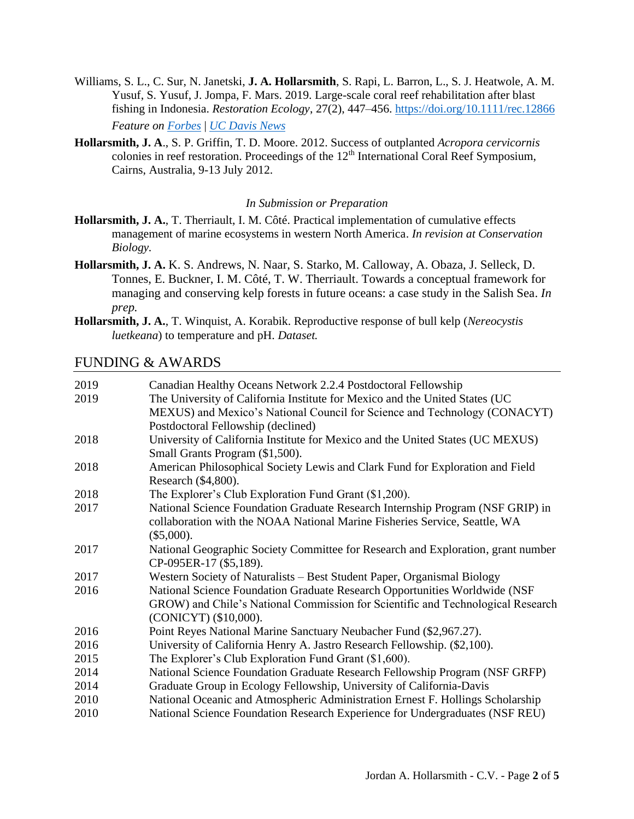- Williams, S. L., C. Sur, N. Janetski, **J. A. Hollarsmith**, S. Rapi, L. Barron, L., S. J. Heatwole, A. M. Yusuf, S. Yusuf, J. Jompa, F. Mars. 2019. Large-scale coral reef rehabilitation after blast fishing in Indonesia. *Restoration Ecology*, 27(2), 447–456.<https://doi.org/10.1111/rec.12866> *Feature on [Forbes](https://www.forbes.com/sites/priyashukla/2018/10/05/using-steel-spiders-we-can-revive-large-swathes-of-coral-reefs/)* | *[UC Davis News](https://www.ucdavis.edu/climate-science/news/large-stretches-coral-reefs-can-be-rehabilitated)*
- **Hollarsmith, J. A**., S. P. Griffin, T. D. Moore. 2012. Success of outplanted *Acropora cervicornis*  colonies in reef restoration. Proceedings of the 12<sup>th</sup> International Coral Reef Symposium, Cairns, Australia, 9-13 July 2012.

#### *In Submission or Preparation*

- **Hollarsmith, J. A.**, T. Therriault, I. M. Côté. Practical implementation of cumulative effects management of marine ecosystems in western North America. *In revision at Conservation Biology.*
- **Hollarsmith, J. A.** K. S. Andrews, N. Naar, S. Starko, M. Calloway, A. Obaza, J. Selleck, D. Tonnes, E. Buckner, I. M. Côté, T. W. Therriault. Towards a conceptual framework for managing and conserving kelp forests in future oceans: a case study in the Salish Sea. *In prep.*
- **Hollarsmith, J. A.**, T. Winquist, A. Korabik. Reproductive response of bull kelp (*Nereocystis luetkeana*) to temperature and pH. *Dataset.*

#### FUNDING & AWARDS

| 2019 | Canadian Healthy Oceans Network 2.2.4 Postdoctoral Fellowship                    |
|------|----------------------------------------------------------------------------------|
| 2019 | The University of California Institute for Mexico and the United States (UC      |
|      | MEXUS) and Mexico's National Council for Science and Technology (CONACYT)        |
|      | Postdoctoral Fellowship (declined)                                               |
| 2018 | University of California Institute for Mexico and the United States (UC MEXUS)   |
|      | Small Grants Program (\$1,500).                                                  |
| 2018 | American Philosophical Society Lewis and Clark Fund for Exploration and Field    |
|      | Research (\$4,800).                                                              |
| 2018 | The Explorer's Club Exploration Fund Grant (\$1,200).                            |
| 2017 | National Science Foundation Graduate Research Internship Program (NSF GRIP) in   |
|      | collaboration with the NOAA National Marine Fisheries Service, Seattle, WA       |
|      | $(\$5,000).$                                                                     |
| 2017 | National Geographic Society Committee for Research and Exploration, grant number |
|      | CP-095ER-17 (\$5,189).                                                           |
| 2017 | Western Society of Naturalists - Best Student Paper, Organismal Biology          |
| 2016 | National Science Foundation Graduate Research Opportunities Worldwide (NSF       |
|      | GROW) and Chile's National Commission for Scientific and Technological Research  |
|      | (CONICYT) (\$10,000).                                                            |
| 2016 | Point Reyes National Marine Sanctuary Neubacher Fund (\$2,967.27).               |
| 2016 | University of California Henry A. Jastro Research Fellowship. (\$2,100).         |
| 2015 | The Explorer's Club Exploration Fund Grant (\$1,600).                            |
| 2014 | National Science Foundation Graduate Research Fellowship Program (NSF GRFP)      |
| 2014 | Graduate Group in Ecology Fellowship, University of California-Davis             |
| 2010 | National Oceanic and Atmospheric Administration Ernest F. Hollings Scholarship   |
| 2010 | National Science Foundation Research Experience for Undergraduates (NSF REU)     |
|      |                                                                                  |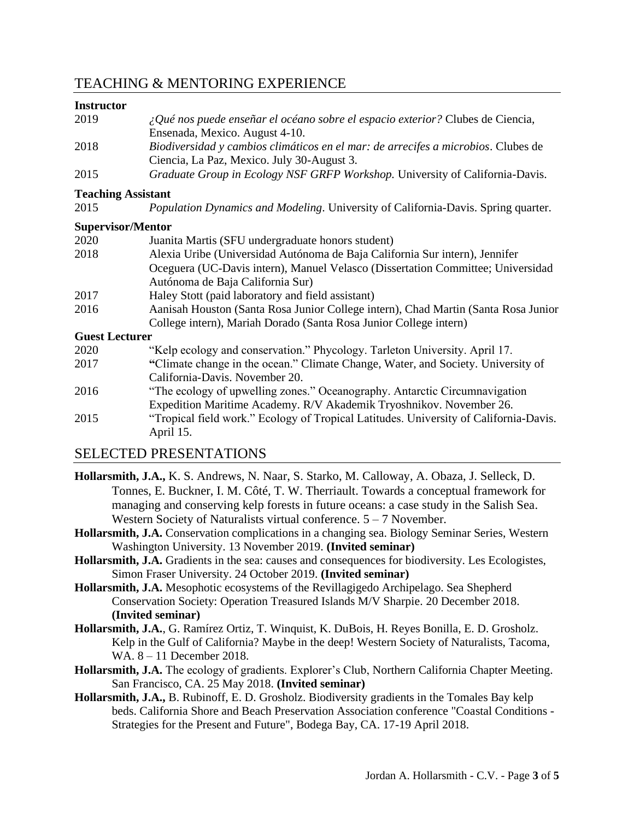# TEACHING & MENTORING EXPERIENCE

#### **Instructor**

| 2019                  | ¿Qué nos puede enseñar el océano sobre el espacio exterior? Clubes de Ciencia,<br>Ensenada, Mexico. August 4-10.                |
|-----------------------|---------------------------------------------------------------------------------------------------------------------------------|
| 2018                  | Biodiversidad y cambios climáticos en el mar: de arrecifes a microbios. Clubes de<br>Ciencia, La Paz, Mexico. July 30-August 3. |
| 2015                  | Graduate Group in Ecology NSF GRFP Workshop. University of California-Davis.                                                    |
|                       | <b>Teaching Assistant</b>                                                                                                       |
| 2015                  | Population Dynamics and Modeling. University of California-Davis. Spring quarter.                                               |
|                       | <b>Supervisor/Mentor</b>                                                                                                        |
| 2020                  | Juanita Martis (SFU undergraduate honors student)                                                                               |
| 2018                  | Alexia Uribe (Universidad Autónoma de Baja California Sur intern), Jennifer                                                     |
|                       | Oceguera (UC-Davis intern), Manuel Velasco (Dissertation Committee; Universidad                                                 |
|                       | Autónoma de Baja California Sur)                                                                                                |
| 2017                  | Haley Stott (paid laboratory and field assistant)                                                                               |
| 2016                  | Aanisah Houston (Santa Rosa Junior College intern), Chad Martin (Santa Rosa Junior                                              |
|                       | College intern), Mariah Dorado (Santa Rosa Junior College intern)                                                               |
| <b>Guest Lecturer</b> |                                                                                                                                 |
| 2020                  | "Kelp ecology and conservation." Phycology. Tarleton University. April 17.                                                      |
| 2017                  | "Climate change in the ocean." Climate Change, Water, and Society. University of                                                |
|                       | California-Davis. November 20.                                                                                                  |
| 2016                  | "The ecology of upwelling zones." Oceanography. Antarctic Circumnavigation                                                      |
|                       | Expedition Maritime Academy. R/V Akademik Tryoshnikov. November 26.                                                             |
| 2015                  | "Tropical field work." Ecology of Tropical Latitudes. University of California-Davis.<br>April 15.                              |
|                       |                                                                                                                                 |

### SELECTED PRESENTATIONS

- **Hollarsmith, J.A.,** K. S. Andrews, N. Naar, S. Starko, M. Calloway, A. Obaza, J. Selleck, D. Tonnes, E. Buckner, I. M. Côté, T. W. Therriault. Towards a conceptual framework for managing and conserving kelp forests in future oceans: a case study in the Salish Sea. Western Society of Naturalists virtual conference.  $5 - 7$  November.
- **Hollarsmith, J.A.** Conservation complications in a changing sea. Biology Seminar Series, Western Washington University. 13 November 2019. **(Invited seminar)**
- **Hollarsmith, J.A.** Gradients in the sea: causes and consequences for biodiversity. Les Ecologistes, Simon Fraser University. 24 October 2019. **(Invited seminar)**
- **Hollarsmith, J.A.** Mesophotic ecosystems of the Revillagigedo Archipelago. Sea Shepherd Conservation Society: Operation Treasured Islands M/V Sharpie. 20 December 2018. **(Invited seminar)**
- **Hollarsmith, J.A.**, G. Ramírez Ortiz, T. Winquist, K. DuBois, H. Reyes Bonilla, E. D. Grosholz. Kelp in the Gulf of California? Maybe in the deep! Western Society of Naturalists, Tacoma, WA. 8 – 11 December 2018.
- **Hollarsmith, J.A.** The ecology of gradients. Explorer's Club, Northern California Chapter Meeting. San Francisco, CA. 25 May 2018. **(Invited seminar)**
- **Hollarsmith, J.A.,** B. Rubinoff, E. D. Grosholz. Biodiversity gradients in the Tomales Bay kelp beds. California Shore and Beach Preservation Association conference "Coastal Conditions - Strategies for the Present and Future", Bodega Bay, CA. 17-19 April 2018.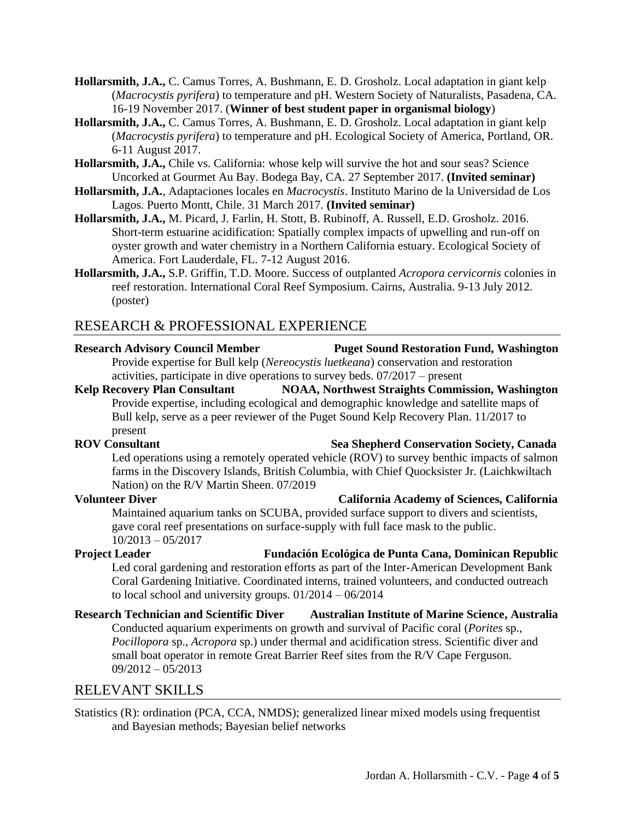- **Hollarsmith, J.A.,** C. Camus Torres, A. Bushmann, E. D. Grosholz. Local adaptation in giant kelp (*Macrocystis pyrifera*) to temperature and pH. Western Society of Naturalists, Pasadena, CA. 16-19 November 2017. (**Winner of best student paper in organismal biology**)
- **Hollarsmith, J.A.,** C. Camus Torres, A. Bushmann, E. D. Grosholz. Local adaptation in giant kelp (*Macrocystis pyrifera*) to temperature and pH. Ecological Society of America, Portland, OR. 6-11 August 2017.
- **Hollarsmith, J.A.,** Chile vs. California: whose kelp will survive the hot and sour seas? Science Uncorked at Gourmet Au Bay. Bodega Bay, CA. 27 September 2017. **(Invited seminar)**
- **Hollarsmith, J.A.**, Adaptaciones locales en *Macrocystis*. Instituto Marino de la Universidad de Los Lagos. Puerto Montt, Chile. 31 March 2017. **(Invited seminar)**
- **Hollarsmith, J.A.,** M. Picard, J. Farlin, H. Stott, B. Rubinoff, A. Russell, E.D. Grosholz. 2016. Short-term estuarine acidification: Spatially complex impacts of upwelling and run-off on oyster growth and water chemistry in a Northern California estuary. Ecological Society of America. Fort Lauderdale, FL. 7-12 August 2016.
- **Hollarsmith, J.A.,** S.P. Griffin, T.D. Moore. Success of outplanted *Acropora cervicornis* colonies in reef restoration. International Coral Reef Symposium. Cairns, Australia. 9-13 July 2012. (poster)

# RESEARCH & PROFESSIONAL EXPERIENCE

# **Research Advisory Council Member Puget Sound Restoration Fund, Washington**

Provide expertise for Bull kelp (*Nereocystis luetkeana*) conservation and restoration activities, participate in dive operations to survey beds. 07/2017 – present

**Kelp Recovery Plan Consultant NOAA, Northwest Straights Commission, Washington** Provide expertise, including ecological and demographic knowledge and satellite maps of Bull kelp, serve as a peer reviewer of the Puget Sound Kelp Recovery Plan. 11/2017 to present

#### **ROV** Consultant Sea Shepherd Conservation Society, Canada

Led operations using a remotely operated vehicle  $(RO<sup>V</sup>)$  to survey benthic impacts of salmon farms in the Discovery Islands, British Columbia, with Chief Quocksister Jr. (Laichkwiltach Nation) on the R/V Martin Sheen. 07/2019.

### **Volunteer Diver California Academy of Sciences, California**

Maintained aquarium tanks on SCUBA, provided surface support to divers and scientists, gave coral reef presentations on surface-supply with full face mask to the public. 10/2013 – 05/2017 **.**

#### **Project Leader Fundación Ecológica de Punta Cana, Dominican Republic** Led coral gardening and restoration efforts as part of the Inter-American Development Bank Coral Gardening Initiative. Coordinated interns, trained volunteers, and conducted outreach to local school and university groups. 01/2014 – 06/2014

**Research Technician and Scientific Diver Australian Institute of Marine Science, Australia** Conducted aquarium experiments on growth and survival of Pacific coral (*Porites* sp., *Pocillopora* sp., *Acropora* sp.) under thermal and acidification stress. Scientific diver and small boat operator in remote Great Barrier Reef sites from the R/V Cape Ferguson. 09/2012 – 05/2013

# RELEVANT SKILLS

Statistics (R): ordination (PCA, CCA, NMDS); generalized linear mixed models using frequentist and Bayesian methods; Bayesian belief networks